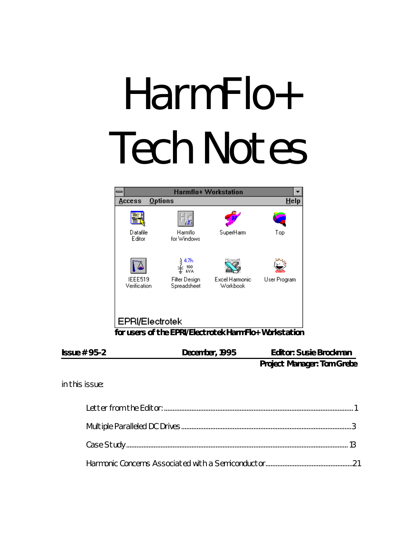# HarmFlo+ Tech Notes



| $Issue # 95-2$ | December, 1995 | <b>Editor: Susie Brockman</b>     |
|----------------|----------------|-----------------------------------|
|                |                | <b>Project Manager: Tom Grebe</b> |

*in this issue:*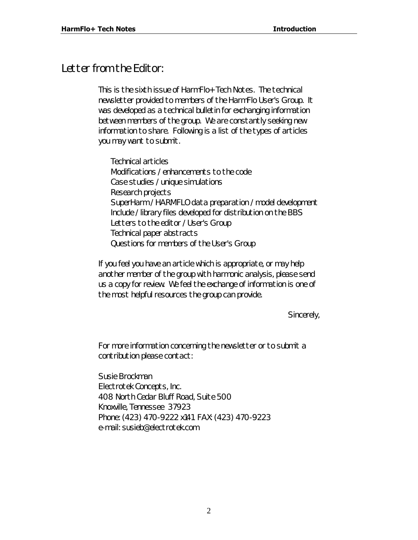# *Letter from the Editor:*

This is the sixth issue of *HarmFlo+ Tech Notes*. The technical newsletter provided to members of the HarmFlo User's Group. It was developed as a technical bulletin for exchanging information between members of the group. We are constantly seeking new information to share. Following is a list of the types of articles you may want to submit.

Technical articles Modifications / enhancements to the code Case studies / unique simulations Research projects SuperHarm / HARMFLO data preparation / model development Include / library files developed for distribution on the BBS Letters to the editor / User's Group Technical paper abstracts Questions for members of the User's Group

If you feel you have an article which is appropriate, or may help another member of the group with harmonic analysis, please send us a copy for review. We feel the exchange of information is one of the most helpful resources the group can provide.

Sincerely,

For more information concerning the newsletter or to submit a contribution please contact:

Susie Brockman Electrotek Concepts, Inc. 408 North Cedar Bluff Road, Suite 500 Knoxville, Tennessee 37923 Phone: (423) 470-9222 x141 FAX: (423) 470-9223 e-mail: susieb@electrotek.com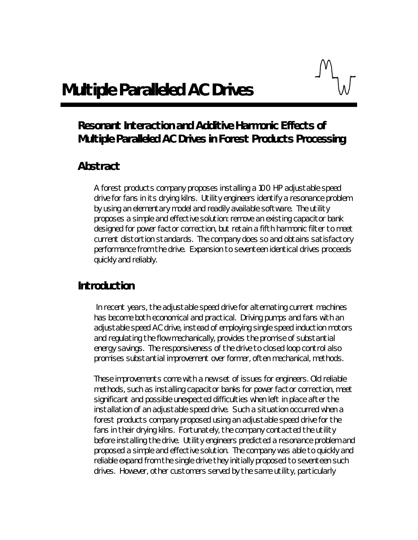# *Multiple Paralleled AC Drives*

# *Resonant Interaction and Additive Harmonic Effects of Multiple Paralleled AC Drives in Forest Products Processing*

#### *Abstract*

A forest products company proposes installing a 100 HP adjustable speed drive for fans in its drying kilns. Utility engineers identify a resonance problem by using an elementary model and readily available software. The utility proposes a simple and effective solution: remove an existing capacitor bank designed for power factor correction, but retain a fifth harmonic filter to meet current distortion standards. The company does so and obtains satisfactory performance from the drive. Expansion to seventeen identical drives proceeds quickly and reliably.

#### *Introduction*

 In recent years, the adjustable speed drive for alternating current machines has become both economical and practical. Driving pumps and fans with an adjustable speed AC drive, instead of employing single speed induction motors and regulating the flow mechanically, provides the promise of substantial energy savings. The responsiveness of the drive to closed loop control also promises substantial improvement over former, often mechanical, methods.

These improvements come with a new set of issues for engineers. Old reliable methods, such as installing capacitor banks for power factor correction, meet significant and possible unexpected difficulties when left in place after the installation of an adjustable speed drive. Such a situation occurred when a forest products company proposed using an adjustable speed drive for the fans in their drying kilns. Fortunately, the company contacted the utility before installing the drive. Utility engineers predicted a resonance problem and proposed a simple and effective solution. The company was able to quickly and reliable expand from the single drive they initially proposed to seventeen such drives. However, other customers served by the same utility, particularly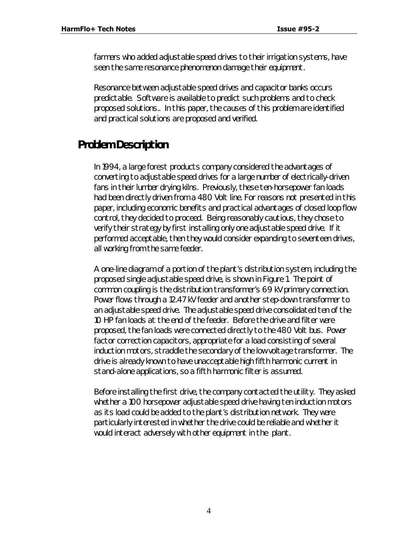farmers who added adjustable speed drives to their irrigation systems, have seen the same resonance phenomenon damage their equipment.

Resonance between adjustable speed drives and capacitor banks occurs predictable. Software is available to predict such problems and to check proposed solutions.. In this paper, the causes of this problem are identified and practical solutions are proposed and verified.

# *Problem Description*

In 1994, a large forest products company considered the advantages of converting to adjustable speed drives for a large number of electrically-driven fans in their lumber drying kilns. Previously, these ten-horsepower fan loads had been directly driven from a 480 Volt line. For reasons not presented in this paper, including economic benefits and practical advantages of closed loop flow control, they decided to proceed. Being reasonably cautious, they chose to verify their strategy by first installing only one adjustable speed drive. If it performed acceptable, then they would consider expanding to seventeen drives, all working from the same feeder.

A one-line diagram of a portion of the plant's distribution system, including the proposed single adjustable speed drive, is shown in Figure 1. The point of common coupling is the distribution transformer's 69 kV primary connection. Power flows through a 12.47 kV feeder and another step-down transformer to an adjustable speed drive. The adjustable speed drive consolidated ten of the 10 HP fan loads at the end of the feeder. Before the drive and filter were proposed, the fan loads were connected directly to the 480 Volt bus. Power factor correction capacitors, appropriate for a load consisting of several induction motors, straddle the secondary of the low voltage transformer. The drive is already known to have unacceptable high fifth harmonic current in stand-alone applications, so a fifth harmonic filter is assumed.

Before installing the first drive, the company contacted the utility. They asked whether a 100 horsepower adjustable speed drive having ten induction motors as its load could be added to the plant's distribution network. They were particularly interested in whether the drive could be reliable and whether it would interact adversely with other equipment in the plant.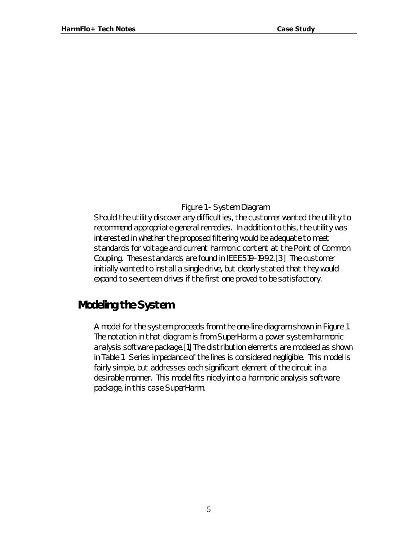#### *Figure 1 - System Diagram*

Should the utility discover any difficulties, the customer wanted the utility to recommend appropriate general remedies. In addition to this, the utility was interested in whether the proposed filtering would be adequate to meet standards for voltage and current harmonic content at the Point of Common Coupling. These standards are found in IEEE519-1992.[3] The customer initially wanted to install a single drive, but clearly stated that they would expand to seventeen drives if the first one proved to be satisfactory.

# *Modeling the System*

A model for the system proceeds from the one-line diagram shown in Figure 1. The notation in that diagram is from SuperHarm, a power system harmonic analysis software package.[1] The distribution elements are modeled as shown in Table 1. Series impedance of the lines is considered negligible. This model is fairly simple, but addresses each significant element of the circuit in a desirable manner. This model fits nicely into a harmonic analysis software package, in this case SuperHarm.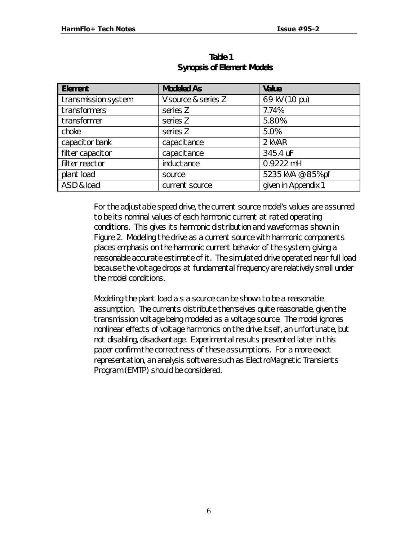| <b>Element</b>      | <b>Modeled As</b>   | <b>Value</b>        |
|---------------------|---------------------|---------------------|
| transmission system | V source & series Z | 69 kV (1.0 pu)      |
| transformers        | series Z            | 7.74%               |
| transformer         | series Z            | 5.80%               |
| choke               | series Z            | 5.0%                |
| capacitor bank      | capacitance         | 2 kVAR              |
| filter capacitor    | capacitance         | 345.4 uF            |
| filter reactor      | inductance          | 0.9222 mH           |
| plant load          | source              | 5235 kVA @ 85% pf   |
| ASD & load          | current source      | given in Appendix 1 |

#### **Table 1 Synopsis of Element Models**

For the adjustable speed drive, the current source model's values are assumed to be its nominal values of each harmonic current at rated operating conditions. This gives its harmonic distribution and waveform as shown in Figure 2. Modeling the drive as a current source with harmonic components places emphasis on the harmonic current behavior of the system, giving a reasonable accurate estimate of it. The simulated drive operated near full load because the voltage drops at fundamental frequency are relatively small under the model conditions.

Modeling the plant load a s a source can be shown to be a reasonable assumption. The currents distribute themselves quite reasonable, given the transmission voltage being modeled as a voltage source. The model ignores nonlinear effects of voltage harmonics on the drive itself, an unfortunate, but not disabling, disadvantage. Experimental results presented later in this paper confirm the correctness of these assumptions. For a more exact representation, an analysis software such as ElectroMagnetic Transients Program (EMTP) should be considered.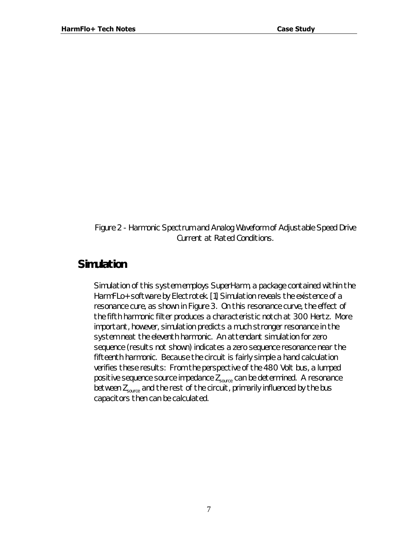*Figure 2 - Harmonic Spectrum and Analog Waveform of Adjustable Speed Drive Current at Rated Conditions.*

#### *Simulation*

Simulation of this system employs SuperHarm, a package contained within the HarmFLo+ software by Electrotek. [1] Simulation reveals the existence of a resonance cure, as shown in Figure 3. On this resonance curve, the effect of the fifth harmonic filter produces a characteristic notch at 300 Hertz. More important, however, simulation predicts a much stronger resonance in the system neat the eleventh harmonic. An attendant simulation for zero sequence (results not shown) indicates a zero sequence resonance near the fifteenth harmonic. Because the circuit is fairly simple a hand calculation verifies these results: From the perspective of the 480 Volt bus, a lumped positive sequence source impedance  $Z_{source}$  can be determined. A resonance between  $Z_{source}$  and the rest of the circuit, primarily influenced by the bus capacitors then can be calculated.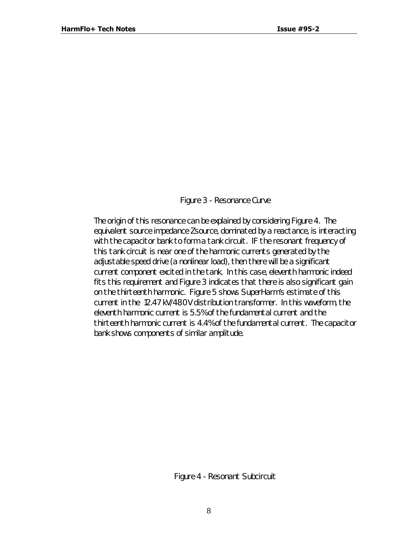#### *Figure 3 - Resonance Curve*

The origin of this resonance can be explained by considering Figure 4. The equivalent source impedance Zsource, dominated by a reactance, is interacting with the capacitor bank to form a tank circuit. IF the resonant frequency of this tank circuit is near one of the harmonic currents generated by the adjustable speed drive (a nonlinear load), then there will be a significant current component excited in the tank. In this case, eleventh harmonic indeed fits this requirement and Figure 3 indicates that there is also significant gain on the thirteenth harmonic. Figure 5 shows SuperHarm's estimate of this current in the 12.47 kV/480V distribution transformer. In this waveform, the eleventh harmonic current is 5.5% of the fundamental current and the thirteenth harmonic current is 4.4% of the fundamental current. The capacitor bank shows components of similar amplitude.

*Figure 4 - Resonant Subcircuit*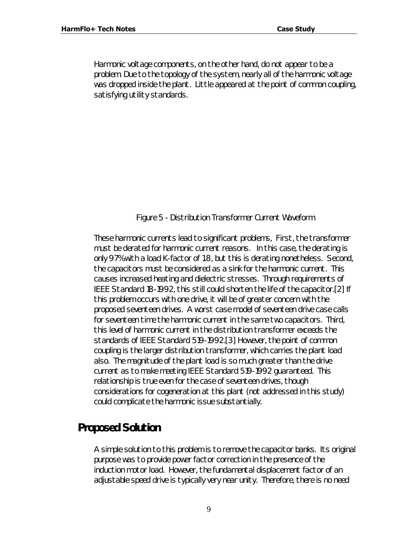Harmonic voltage components, on the other hand, do not appear to be a problem. Due to the topology of the system, nearly all of the harmonic voltage was dropped inside the plant. Little appeared at the point of common coupling, satisfying utility standards.

#### *Figure 5 - Distribution Transformer Current Waveform*

These harmonic currents lead to significant problems, First, the transformer must be derated for harmonic current reasons. In this case, the derating is only 97% with a load K-factor of 1.8, but this is derating nonetheless. Second, the capacitors must be considered as a sink for the harmonic current. This causes increased heating and dielectric stresses. Through requirements of IEEE Standard 18-1992, this still could shorten the life of the capacitor.[2] If this problem occurs with one drive, it will be of greater concern with the proposed seventeen drives. A worst case model of seventeen drive case calls for seventeen time the harmonic current in the same two capacitors. Third, this level of harmonic current in the distribution transformer exceeds the standards of IEEE Standard 519-1992.[3] However, the point of common coupling is the larger distribution transformer, which carries the plant load also. The magnitude of the plant load is so much greater than the drive current as to make meeting IEEE Standard 519-1992 guaranteed. This relationship is true even for the case of seventeen drives, though considerations for cogeneration at this plant (not addressed in this study) could complicate the harmonic issue substantially.

# *Proposed Solution*

A simple solution to this problem is to remove the capacitor banks. Its original purpose was to provide power factor correction in the presence of the induction motor load. However, the fundamental displacement factor of an adjustable speed drive is typically very near unity. Therefore, there is no need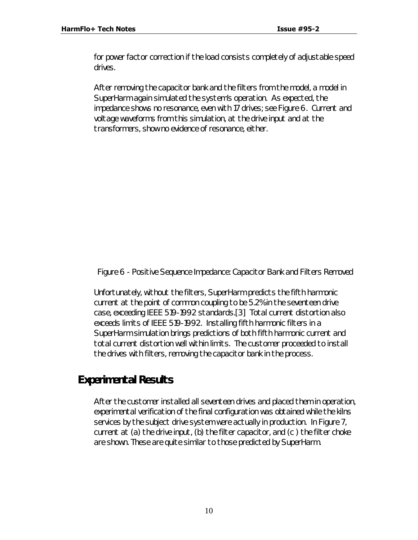for power factor correction if the load consists completely of adjustable speed drives.

After removing the capacitor bank and the filters from the model, a model in SuperHarm again simulated the system's operation. As expected, the impedance shows no resonance, even with 17 drives; see Figure 6. Current and voltage waveforms from this simulation, at the drive input and at the transformers, show no evidence of resonance, either.

*Figure 6 - Positive Sequence Impedance: Capacitor Bank and Filters Removed*

Unfortunately, without the filters, SuperHarm predicts the fifth harmonic current at the point of common coupling to be 5.2% in the seventeen drive case, exceeding IEEE 519-1992 standards.[3] Total current distortion also exceeds limits of IEEE 519-1992. Installing fifth harmonic filters in a SuperHarm simulation brings predictions of both fifth harmonic current and total current distortion well within limits. The customer proceeded to install the drives with filters, removing the capacitor bank in the process.

# *Experimental Results*

After the customer installed all seventeen drives and placed them in operation, experimental verification of the final configuration was obtained while the kilns services by the subject drive system were actually in production. In Figure 7, current at (a) the drive input, (b) the filter capacitor, and (c ) the filter choke are shown. These are quite similar to those predicted by SuperHarm.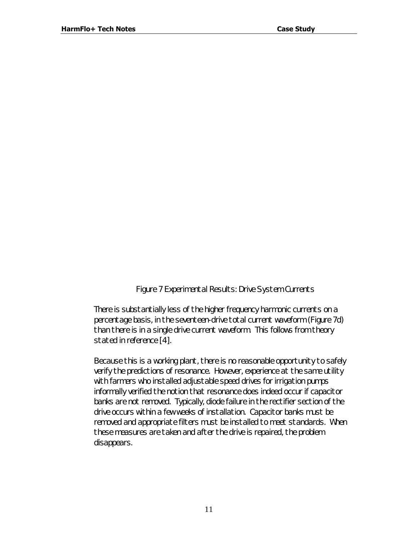#### *Figure 7 Experimental Results: Drive System Currents*

There is substantially less of the higher frequency harmonic currents on a percentage basis, in the seventeen-drive total current waveform (Figure 7d) than there is in a single drive current waveform. This follows from theory stated in reference [4].

Because this is a working plant, there is no reasonable opportunity to safely verify the predictions of resonance. However, experience at the same utility with farmers who installed adjustable speed drives for irrigation pumps informally verified the notion that resonance does indeed occur if capacitor banks are not removed. Typically, diode failure in the rectifier section of the drive occurs within a few weeks of installation. Capacitor banks must be removed and appropriate filters must be installed to meet standards. When these measures are taken and after the drive is repaired, the problem disappears.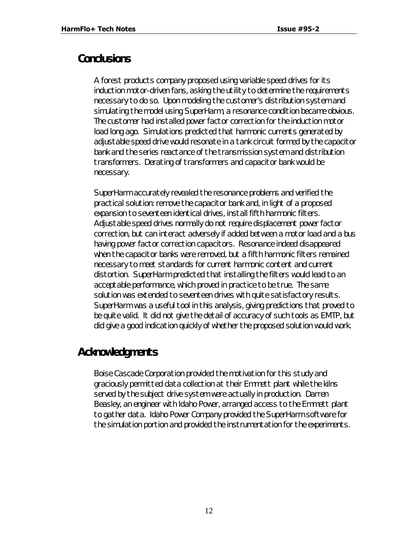# *Conclusions*

A forest products company proposed using variable speed drives for its induction motor-driven fans, asking the utility to determine the requirements necessary to do so. Upon modeling the customer's distribution system and simulating the model using SuperHarm, a resonance condition became obvious. The customer had installed power factor correction for the induction motor load long ago. Simulations predicted that harmonic currents generated by adjustable speed drive would resonate in a tank circuit formed by the capacitor bank and the series reactance of the transmission system and distribution transformers. Derating of transformers and capacitor bank would be necessary.

SuperHarm accurately revealed the resonance problems and verified the practical solution: remove the capacitor bank and, in light of a proposed expansion to seventeen identical drives, install fifth harmonic filters. Adjustable speed drives normally do not require displacement power factor correction, but can interact adversely if added between a motor load and a bus having power factor correction capacitors. Resonance indeed disappeared when the capacitor banks were removed, but a fifth harmonic filters remained necessary to meet standards for current harmonic content and current distortion. SuperHarm predicted that installing the filters would lead to an acceptable performance, which proved in practice to be true. The same solution was extended to seventeen drives with quite satisfactory results. SuperHarm was a useful tool in this analysis, giving predictions that proved to be quite valid. It did not give the detail of accuracy of such tools as EMTP, but did give a good indication quickly of whether the proposed solution would work.

# *Acknowledgments*

Boise Cascade Corporation provided the motivation for this study and graciously permitted data collection at their Emmett plant while the kilns served by the subject drive system were actually in production. Darren Beasley, an engineer with Idaho Power, arranged access to the Emmett plant to gather data. Idaho Power Company provided the SuperHarm software for the simulation portion and provided the instrumentation for the experiments.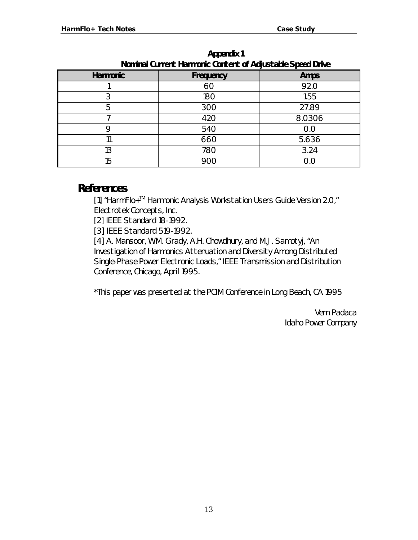| <b>Hommar Surront Harmond Content or Augustudic Opecu Drive</b> |                  |             |  |
|-----------------------------------------------------------------|------------------|-------------|--|
| <b>Harmonic</b>                                                 | <b>Frequency</b> | <b>Amps</b> |  |
|                                                                 | 60               | 92.0        |  |
| 3                                                               | 180              | 1.55        |  |
| 5                                                               | 300              | 27.89       |  |
|                                                                 | 420              | 8.0306      |  |
| Q                                                               | 540              | 0.0         |  |
|                                                                 | 660              | 5.636       |  |
| 13                                                              | 780              | 3.24        |  |
| 15                                                              | 900              | 0.0         |  |

| <b>Appendix 1</b>                                                 |  |
|-------------------------------------------------------------------|--|
| <b>Nominal Current Harmonic Content of Adjustable Speed Drive</b> |  |

#### *References*

[1] "HarmFlo+™ Harmonic Analysis Workstation Users Guide Version 2.0," Electrotek Concepts, Inc.

[2] IEEE Standard 18-1992.

[3] IEEE Standard 519-1992.

[4] A. Mansoor, W.M. Grady, A.H. Chowdhury, and M.J. Samotyj, "An Investigation of Harmonics Attenuation and Diversity Among Distributed Single-Phase Power Electronic Loads," IEEE Transmission and Distribution Conference, Chicago, April 1995.

\*This paper was presented at the PCIM Conference in Long Beach, CA 1995

Vern Padaca Idaho Power Company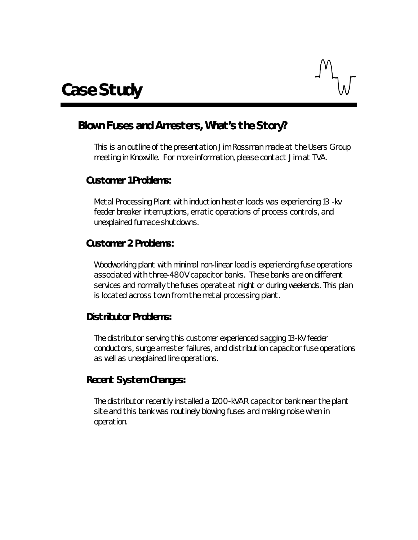

# *Blown Fuses and Arresters, What's the Story?*

This is an outline of the presentation Jim Rossman made at the Users Group meeting in Knoxville. For more information, please contact Jim at TVA.

#### **Customer 1 Problems:**

Metal Processing Plant with induction heater loads was experiencing 13 -kv feeder breaker interruptions, erratic operations of process controls, and unexplained furnace shutdowns.

#### **Customer 2 Problems:**

Woodworking plant with minimal non-linear load is experiencing fuse operations associated with three-480V capacitor banks. These banks are on different services and normally the fuses operate at night or during weekends. This plan is located across town from the metal processing plant.

#### **Distributor Problems:**

The distributor serving this customer experienced sagging 13-kV feeder conductors, surge arrester failures, and distribution capacitor fuse operations as well as unexplained line operations.

# **Recent System Changes:**

The distributor recently installed a 1200-kVAR capacitor bank near the plant site and this bank was routinely blowing fuses and making noise when in operation.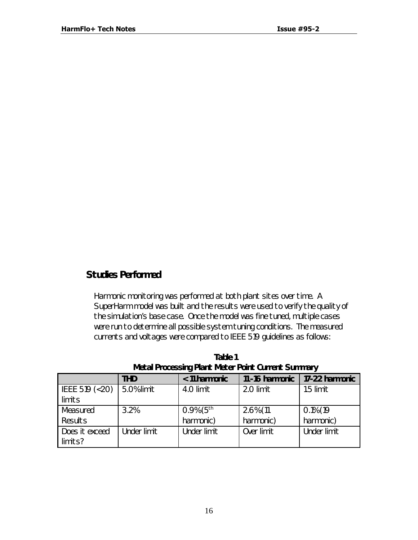#### **Studies Performed**

Harmonic monitoring was performed at both plant sites over time. A SuperHarm model was built and the results were used to verify the quality of the simulation's base case. Once the model was fine tuned, multiple cases were run to determine all possible system tuning conditions. The measured currents and voltages were compared to IEEE 519 guidelines as follows:

|                   | <b>THD</b>  | < 11 harmonic            | 11-16 harmonic | 17-22 harmonic |
|-------------------|-------------|--------------------------|----------------|----------------|
| IEEE 519 $(< 20)$ | 5.0% limit  | 4.0 limit                | 2.0 limit      | 1.5 limit      |
| limits            |             |                          |                |                |
| Measured          | 3.2%        | $0.9\%$ (5 <sup>th</sup> | $2.6\%$ (11    | $0.1\%$ (19    |
| Results           |             | harmonic)                | harmonic)      | harmonic)      |
| Does it exceed    | Under limit | Under limit              | Over limit     | Under limit    |
| limits?           |             |                          |                |                |

*Table 1 Metal Processing Plant Meter Point Current Summary*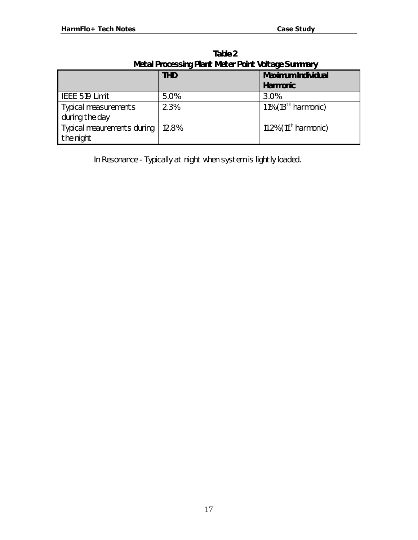| <b><i>IVICLAI FIUCCSSING FIGHT IVICLEI FUILL VULLAGE SUMMARY</i></b> |            |                           |
|----------------------------------------------------------------------|------------|---------------------------|
|                                                                      | <b>THD</b> | <b>Maximum Individual</b> |
|                                                                      |            | <b>Harmonic</b>           |
| IEEE 519 Limit                                                       | 5.0%       | 3.0%                      |
| <b>Typical measurements</b>                                          | 2.3%       | 1.1% $(13th harmonic)$    |
| during the day                                                       |            |                           |
| Typical meaurements during                                           | 12.8%      | 11.2% $(11th$ harmonic)   |
| the night                                                            |            |                           |

*Table 2 Metal Processing Plant Meter Point Voltage Summary*

In Resonance - Typically at night when system is lightly loaded.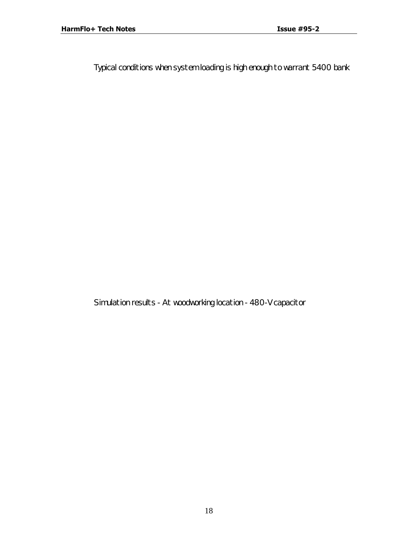Typical conditions when system loading is high enough to warrant 5400 bank

Simulation results - At woodworking location - 480-V capacitor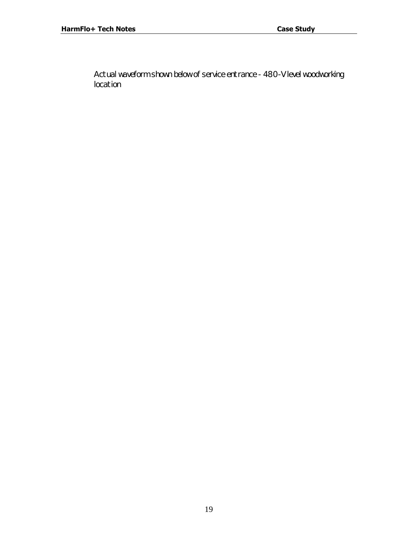Actual waveform shown below of service entrance - 480-V level woodworking location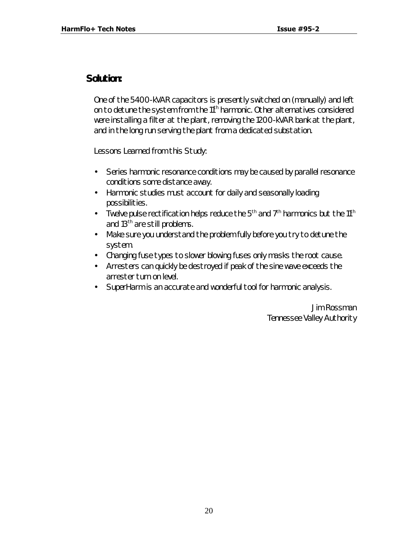#### **Solution:**

One of the 5400-kVAR capacitors is presently switched on (manually) and left on to detune the system from the 11<sup>th</sup> harmonic. Other alternatives considered were installing a filter at the plant, removing the 1200-kVAR bank at the plant, and in the long run serving the plant from a dedicated substation.

Lessons Learned from this Study:

- Series harmonic resonance conditions may be caused by parallel resonance conditions some distance away.
- Harmonic studies must account for daily and seasonally loading possibilities.
- Twelve pulse rectification helps reduce the  $5<sup>th</sup>$  and  $7<sup>th</sup>$  harmonics but the 11<sup>th</sup> and 13<sup>th</sup> are still problems.
- Make sure you understand the problem fully before you try to detune the system.
- Changing fuse types to slower blowing fuses only masks the root cause.
- Arresters can quickly be destroyed if peak of the sine wave exceeds the arrester turn on level.
- SuperHarm is an accurate and wonderful tool for harmonic analysis.

Jim Rossman Tennessee Valley Authority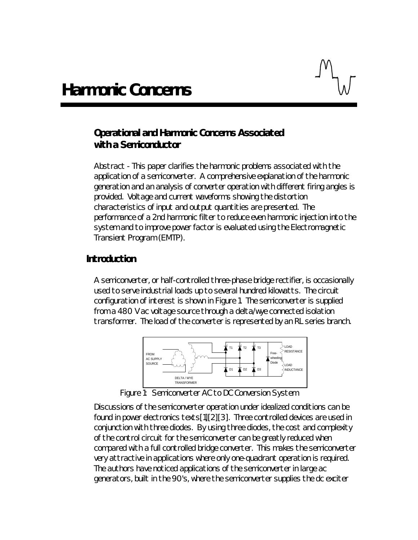# **Operational and Harmonic Concerns Associated with a Semiconductor**

Abstract - This paper clarifies the harmonic problems associated with the application of a semiconverter. A comprehensive explanation of the harmonic generation and an analysis of converter operation with different firing angles is provided. Voltage and current waveforms showing the distortion characteristics of input and output quantities are presented. The performance of a 2nd harmonic filter to reduce even harmonic injection into the system and to improve power factor is evaluated using the Electromagnetic Transient Program (EMTP).

#### **Introduction**

A semiconverter, or half-controlled three-phase bridge rectifier, is occasionally used to serve industrial loads up to several hundred kilowatts. The circuit configuration of interest is shown in Figure 1. The semiconverter is supplied from a 480 V ac voltage source through a delta/wye connected isolation transformer. The load of the converter is represented by an RL series branch.



*Figure 1: Semiconverter AC to DC Conversion System*

Discussions of the semiconverter operation under idealized conditions can be found in power electronics texts[1][2][3]. Three controlled devices are used in conjunction with three diodes. By using three diodes, the cost and complexity of the control circuit for the semiconverter can be greatly reduced when compared with a full controlled bridge converter. This makes the semiconverter very attractive in applications where only one-quadrant operation is required. The authors have noticed applications of the semiconverter in large ac generators, built in the 90's, where the semiconverter supplies the dc exciter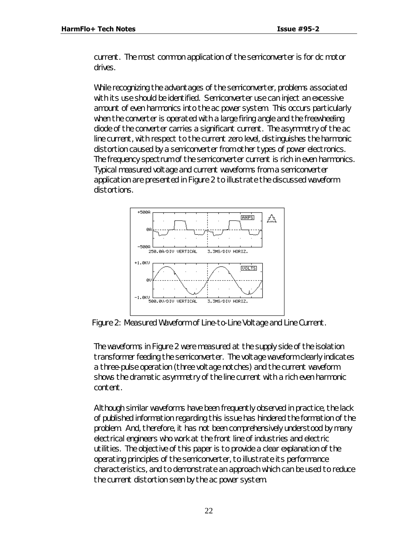current. The most common application of the semiconverter is for dc motor drives.

While recognizing the advantages of the semiconverter, problems associated with its use should be identified. Semiconverter use can inject an excessive amount of even harmonics into the ac power system. This occurs particularly when the converter is operated with a large firing angle and the freewheeling diode of the converter carries a significant current. The asymmetry of the ac line current, with respect to the current zero level, distinguishes the harmonic distortion caused by a semiconverter from other types of power electronics. The frequency spectrum of the semiconverter current is rich in even harmonics. Typical measured voltage and current waveforms from a semiconverter application are presented in Figure 2 to illustrate the discussed waveform distortions.



*Figure 2: Measured Waveform of Line-to-Line Voltage and Line Current.*

The waveforms in Figure 2 were measured at the supply side of the isolation transformer feeding the semiconverter. The voltage waveform clearly indicates a three-pulse operation (three voltage notches) and the current waveform shows the dramatic asymmetry of the line current with a rich even harmonic content.

Although similar waveforms have been frequently observed in practice, the lack of published information regarding this issue has hindered the formation of the problem. And, therefore, it has not been comprehensively understood by many electrical engineers who work at the front line of industries and electric utilities. The objective of this paper is to provide a clear explanation of the operating principles of the semiconverter, to illustrate its performance characteristics, and to demonstrate an approach which can be used to reduce the current distortion seen by the ac power system.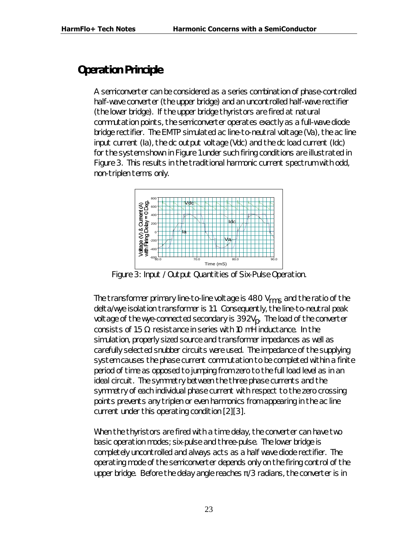# *Operation Principle*

A semiconverter can be considered as a series combination of phase-controlled half-wave converter (the upper bridge) and an uncontrolled half-wave rectifier (the lower bridge). If the upper bridge thyristors are fired at natural commutation points, the semiconverter operates exactly as a full-wave diode bridge rectifier. The EMTP simulated ac line-to-neutral voltage (Va), the ac line input current (Ia), the dc output voltage (Vdc) and the dc load current (Idc) for the system shown in Figure 1 under such firing conditions are illustrated in Figure 3. This results in the traditional harmonic current spectrum with odd, non-triplen terms only.



*Figure 3: Input / Output Quantities of Six-Pulse Operation.*

The transformer primary line-to-line voltage is 480  $V_{rms}$  and the ratio of the delta/wye isolation transformer is 1:1. Consequently, the line-to-neutral peak voltage of the wye-connected secondary is 392V<sub>p</sub>. The load of the converter consists of 1.5 Ω resistance in series with 10 mH inductance. In the simulation, properly sized source and transformer impedances as well as carefully selected snubber circuits were used. The impedance of the supplying system causes the phase current commutation to be completed within a finite period of time as opposed to jumping from zero to the full load level as in an ideal circuit. The symmetry between the three phase currents and the symmetry of each individual phase current with respect to the zero crossing points prevents any triplen or even harmonics from appearing in the ac line current under this operating condition [2][3].

When the thyristors are fired with a time delay, the converter can have two basic operation modes; six-pulse and three-pulse. The lower bridge is completely uncontrolled and always acts as a half wave diode rectifier. The operating mode of the semiconverter depends only on the firing control of the upper bridge. Before the delay angle reaches  $\pi/3$  radians, the converter is in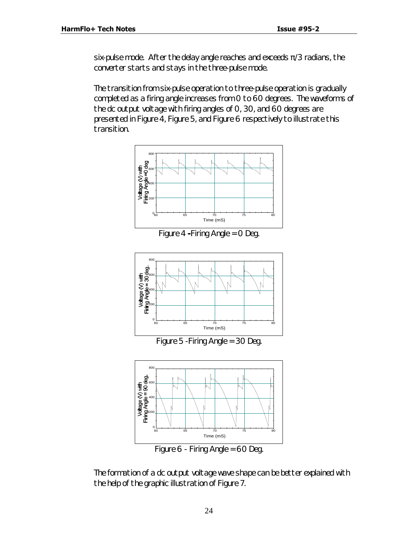six-pulse mode. After the delay angle reaches and exceeds  $\pi/3$  radians, the converter starts and stays in the three-pulse mode.

The transition from six-pulse operation to three-pulse operation is gradually completed as a firing angle increases from 0 to 60 degrees. The waveforms of the dc output voltage with firing angles of 0, 30, and 60 degrees are presented in Figure 4, Figure 5, and Figure 6 respectively to illustrate this transition.





*Figure 5 -Firing Angle = 30 Deg.*



The formation of a dc output voltage wave shape can be better explained with the help of the graphic illustration of Figure 7.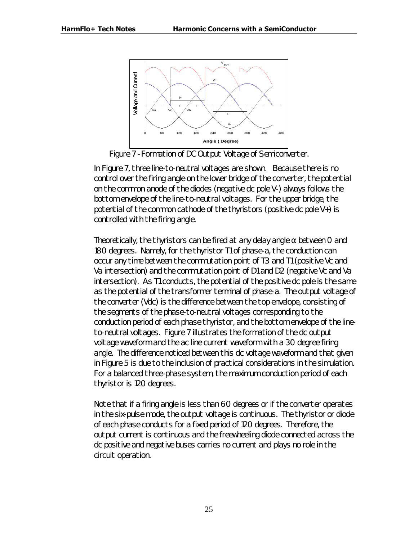

*Figure 7 -Formation of DC Output Voltage of Semiconverter.*

In Figure 7, three line-to-neutral voltages are shown. Because there is no control over the firing angle on the lower bridge of the converter, the potential on the common anode of the diodes (negative dc pole V-) always follows the bottom envelope of the line-to-neutral voltages. For the upper bridge, the potential of the common cathode of the thyristors (positive dc pole V+) is controlled with the firing angle.

Theoretically, the thyristors can be fired at any delay angle  $\alpha$  between O and 180 degrees. Namely, for the thyristor T1 of phase-a, the conduction can occur any time between the commutation point of T3 and T1 (positive Vc and Va intersection) and the commutation point of D1 and D2 (negative Vc and Va intersection). As T1 conducts, the potential of the positive dc pole is the same as the potential of the transformer terminal of phase-a. The output voltage of the converter (Vdc) is the difference between the top envelope, consisting of the segments of the phase-to-neutral voltages corresponding to the conduction period of each phase thyristor, and the bottom envelope of the lineto-neutral voltages. Figure 7 illustrates the formation of the dc output voltage waveform and the ac line current waveform with a 30 degree firing angle. The difference noticed between this dc voltage waveform and that given in Figure 5 is due to the inclusion of practical considerations in the simulation. For a balanced three-phase system, the maximum conduction period of each thyristor is 120 degrees.

Note that if a firing angle is less than 60 degrees or if the converter operates in the six-pulse mode, the output voltage is continuous. The thyristor or diode of each phase conducts for a fixed period of 120 degrees. Therefore, the output current is continuous and the freewheeling diode connected across the dc positive and negative buses carries no current and plays no role in the circuit operation.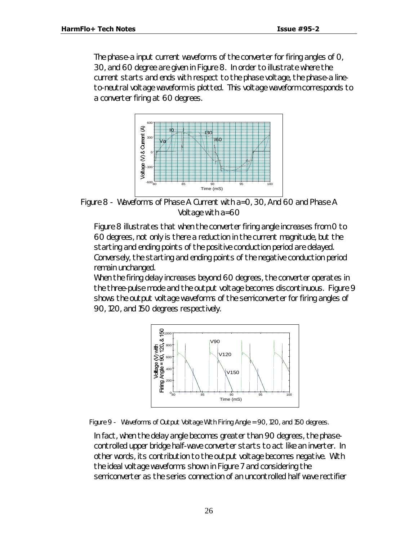The phase-a input current waveforms of the converter for firing angles of 0, 30, and 60 degree are given in Figure 8. In order to illustrate where the current starts and ends with respect to the phase voltage, the phase-a lineto-neutral voltage waveform is plotted. This voltage waveform corresponds to a converter firing at 60 degrees.



*Figure 8 - Waveforms of Phase A Current with a=0, 30, And 60 and Phase A Voltage with a=60*

Figure 8 illustrates that when the converter firing angle increases from 0 to 60 degrees, not only is there a reduction in the current magnitude, but the starting and ending points of the positive conduction period are delayed. Conversely, the starting and ending points of the negative conduction period remain unchanged.

When the firing delay increases beyond 60 degrees, the converter operates in the three-pulse mode and the output voltage becomes discontinuous. Figure 9 shows the output voltage waveforms of the semiconverter for firing angles of 90, 120, and 150 degrees respectively.



*Figure 9 - Waveforms of Output Voltage With Firing Angle = 90, 120, and 150 degrees.*

In fact, when the delay angle becomes greater than 90 degrees, the phasecontrolled upper bridge half-wave converter starts to act like an inverter. In other words, its contribution to the output voltage becomes negative. With the ideal voltage waveforms shown in Figure 7 and considering the semiconverter as the series connection of an uncontrolled half wave rectifier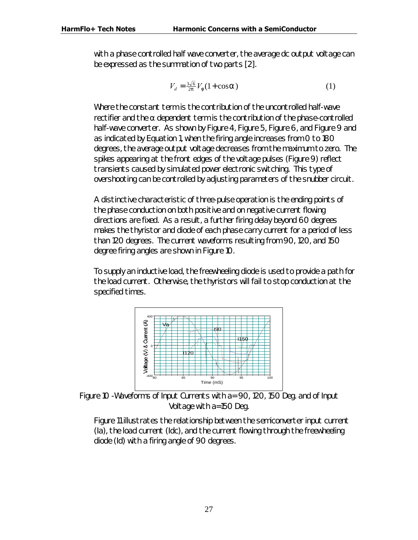with a phase controlled half wave converter, the average dc output voltage can be expressed as the summation of two parts [2].

$$
V_d = \frac{3\sqrt{6}}{2p} V_f (1 + \cos \mathbf{a})
$$
 (1)

Where the constant term is the contribution of the uncontrolled half-wave rectifier and the  $\alpha$  dependent term is the contribution of the phase-controlled half-wave converter. As shown by Figure 4, Figure 5, Figure 6, and Figure 9 and as indicated by Equation 1, when the firing angle increases from 0 to 180 degrees, the average output voltage decreases from the maximum to zero. The spikes appearing at the front edges of the voltage pulses (Figure 9) reflect transients caused by simulated power electronic switching. This type of overshooting can be controlled by adjusting parameters of the snubber circuit.

A distinctive characteristic of three-pulse operation is the ending points of the phase conduction on both positive and on negative current flowing directions are fixed. As a result, a further firing delay beyond 60 degrees makes the thyristor and diode of each phase carry current for a period of less than 120 degrees. The current waveforms resulting from 90, 120, and 150 degree firing angles are shown in Figure 10.

To supply an inductive load, the freewheeling diode is used to provide a path for the load current. Otherwise, the thyristors will fail to stop conduction at the specified times.



*Figure 10 -Waveforms of Input Currents with a= 90, 120, 150 Deg. and of Input Voltage with a=150 Deg.*

Figure 11 illustrates the relationship between the semiconverter input current (Ia), the load current (Idc), and the current flowing through the freewheeling diode (Id) with a firing angle of 90 degrees.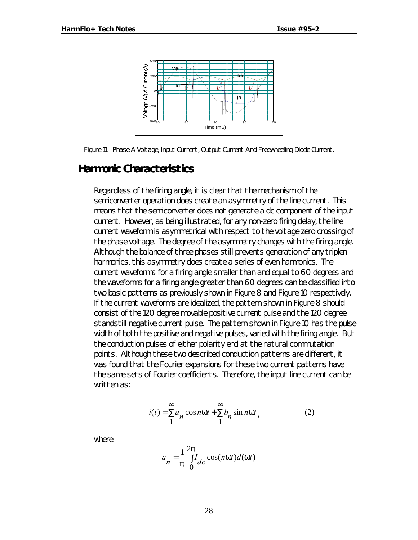

*Figure 11 - Phase A Voltage, Input Current, Output Current And Freewheeling Diode Current.*

#### *Harmonic Characteristics*

Regardless of the firing angle, it is clear that the mechanism of the semiconverter operation does create an asymmetry of the line current. This means that the semiconverter does not generate a dc component of the input current. However, as being illustrated, for any non-zero firing delay, the line current waveform is asymmetrical with respect to the voltage zero crossing of the phase voltage. The degree of the asymmetry changes with the firing angle. Although the balance of three phases still prevents generation of any triplen harmonics, this asymmetry does create a series of even harmonics. The current waveforms for a firing angle smaller than and equal to 60 degrees and the waveforms for a firing angle greater than 60 degrees can be classified into two basic patterns as previously shown in Figure 8 and Figure 10 respectively. If the current waveforms are idealized, the pattern shown in Figure 8 should consist of the 120 degree movable positive current pulse and the 120 degree standstill negative current pulse. The pattern shown in Figure 10 has the pulse width of both the positive and negative pulses, varied with the firing angle. But the conduction pulses of either polarity end at the natural commutation points. Although these two described conduction patterns are different, it was found that the Fourier expansions for these two current patterns have the same sets of Fourier coefficients. Therefore, the input line current can be written as:

$$
i(t) = \sum_{n=1}^{\infty} a_n \cos nwt + \sum_{n=1}^{\infty} b_n \sin nwt,
$$
 (2)

where:

$$
a_n = \frac{1}{p} \int_{0}^{2p} I_{dc} \cos(nwt) d(wt)
$$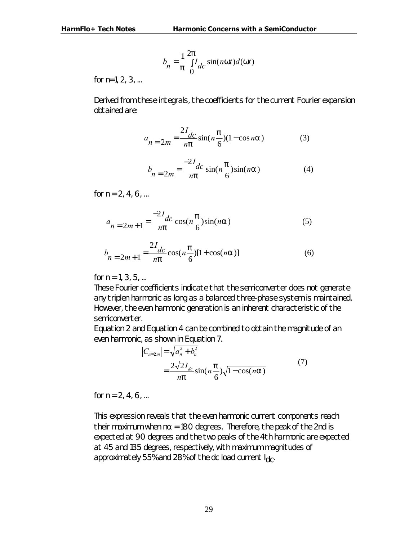$$
b_n = \frac{1}{p} \int_{0}^{2p} I_{dc} \sin(nwt) d(wt)
$$

for  $n=1, 2, 3, ...$ 

Derived from these integrals, the coefficients for the current Fourier expansion obtained are:

$$
a_{n=2m} = \frac{2I_{dc}}{np} \sin(n\frac{p}{6})(1-\cos n\mathbf{a})\tag{3}
$$

$$
b_{n=2m} = \frac{-2I_{dc}}{np} \sin(n\frac{p}{6})\sin(na)
$$
 (4)

for  $n = 2, 4, 6, ...$ 

$$
a_{n=2m+1} = \frac{-2I_{dc}}{np} \cos\left(n\frac{p}{6}\right) \sin(n\mathbf{a})\tag{5}
$$

$$
b_{n=2m+1} = \frac{2I_{dc}}{np} \cos(n\frac{p}{6})[1+\cos(na)]
$$
 (6)

for  $n = 1, 3, 5, ...$ 

These Fourier coefficients indicate that the semiconverter does not generate any triplen harmonic as long as a balanced three-phase system is maintained. However, the even harmonic generation is an inherent characteristic of the semiconverter.

Equation 2 and Equation 4 can be combined to obtain the magnitude of an even harmonic, as shown in Equation 7.

$$
|C_{n=2m}| = \sqrt{a_n^2 + b_n^2}
$$
  
= 
$$
\frac{2\sqrt{2}I_{dc}}{np} \sin(n\frac{p}{6})\sqrt{1-\cos(n\mathbf{a})}
$$
 (7)

for  $n = 2, 4, 6, ...$ 

This expression reveals that the even harmonic current components reach their maximum when  $n\alpha$  = 180 degrees. Therefore, the peak of the 2nd is expected at 90 degrees and the two peaks of the 4th harmonic are expected at 45 and 135 degrees, respectively, with maximum magnitudes of approximately 55% and 28% of the dc load current  $I_{\text{dC}}$ .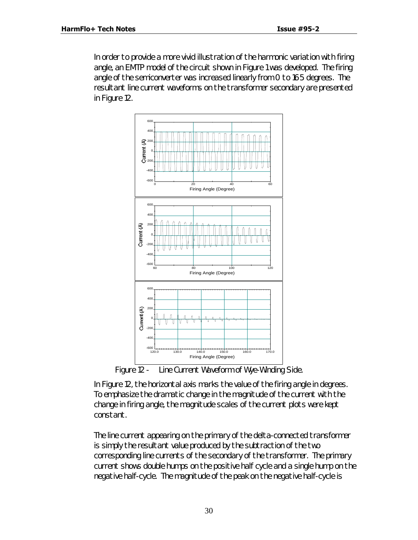In order to provide a more vivid illustration of the harmonic variation with firing angle, an EMTP model of the circuit shown in Figure 1 was developed. The firing angle of the semiconverter was increased linearly from 0 to 165 degrees. The resultant line current waveforms on the transformer secondary are presented in Figure 12.



*Figure 12 - Line Current Waveform of Wye-Winding Side.*

In Figure 12, the horizontal axis marks the value of the firing angle in degrees. To emphasize the dramatic change in the magnitude of the current with the change in firing angle, the magnitude scales of the current plots were kept constant.

The line current appearing on the primary of the delta-connected transformer is simply the resultant value produced by the subtraction of the two corresponding line currents of the secondary of the transformer. The primary current shows double humps on the positive half cycle and a single hump on the negative half-cycle. The magnitude of the peak on the negative half-cycle is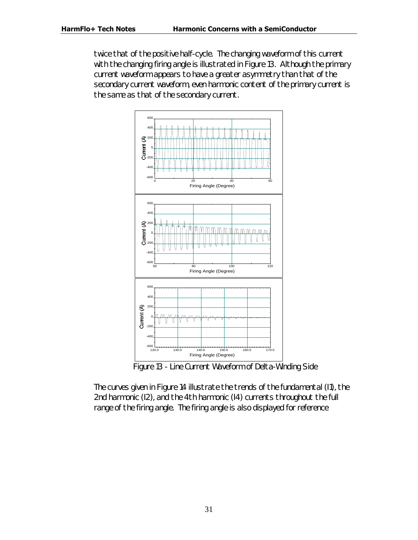twice that of the positive half-cycle. The changing waveform of this current with the changing firing angle is illustrated in Figure 13. Although the primary current waveform appears to have a greater asymmetry than that of the secondary current waveform, even harmonic content of the primary current is the same as that of the secondary current.



*Figure 13 - Line Current Waveform of Delta-Winding Side*

The curves given in Figure 14 illustrate the trends of the fundamental (I1), the 2nd harmonic (I2), and the 4th harmonic (I4) currents throughout the full range of the firing angle. The firing angle is also displayed for reference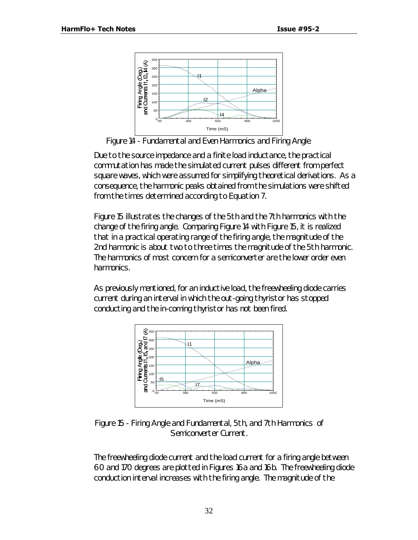

*Figure 14 - Fundamental and Even Harmonics and Firing Angle.*

Due to the source impedance and a finite load inductance, the practical commutation has made the simulated current pulses different from perfect square waves, which were assumed for simplifying theoretical derivations. As a consequence, the harmonic peaks obtained from the simulations were shifted from the times determined according to Equation 7.

Figure 15 illustrates the changes of the 5th and the 7th harmonics with the change of the firing angle. Comparing Figure 14 with Figure 15, it is realized that in a practical operating range of the firing angle, the magnitude of the 2nd harmonic is about two to three times the magnitude of the 5th harmonic. The harmonics of most concern for a semiconverter are the lower order even harmonics.

As previously mentioned, for an inductive load, the freewheeling diode carries current during an interval in which the out-going thyristor has stopped conducting and the in-coming thyristor has not been fired.



*Figure 15 - Firing Angle and Fundamental, 5th, and 7th Harmonics of Semiconverter Current.*

The freewheeling diode current and the load current for a firing angle between 60 and 170 degrees are plotted in Figures 16a and 16b. The freewheeling diode conduction interval increases with the firing angle. The magnitude of the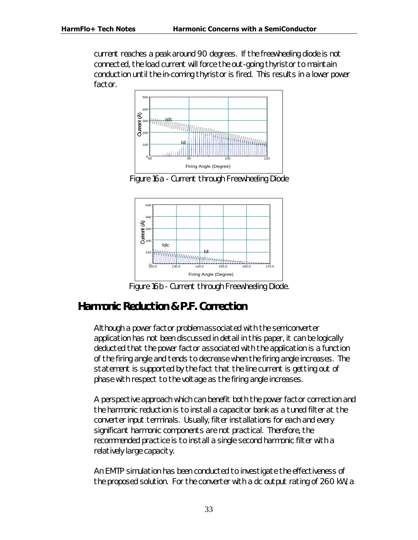current reaches a peak around 90 degrees. If the freewheeling diode is not connected, the load current will force the out-going thyristor to maintain conduction until the in-coming thyristor is fired. This results in a lower power factor.



*Figure 16a - Current through Freewheeling Diode*



*Figure 16b - Current through Freewheeling Diode.*

# *Harmonic Reduction & P.F. Correction*

Although a power factor problem associated with the semiconverter application has not been discussed in detail in this paper, it can be logically deducted that the power factor associated with the application is a function of the firing angle and tends to decrease when the firing angle increases. The statement is supported by the fact that the line current is getting out of phase with respect to the voltage as the firing angle increases.

A perspective approach which can benefit both the power factor correction and the harmonic reduction is to install a capacitor bank as a tuned filter at the converter input terminals. Usually, filter installations for each and every significant harmonic components are not practical. Therefore, the recommended practice is to install a single second harmonic filter with a relatively large capacity.

An EMTP simulation has been conducted to investigate the effectiveness of the proposed solution. For the converter with a dc output rating of 260 kW, a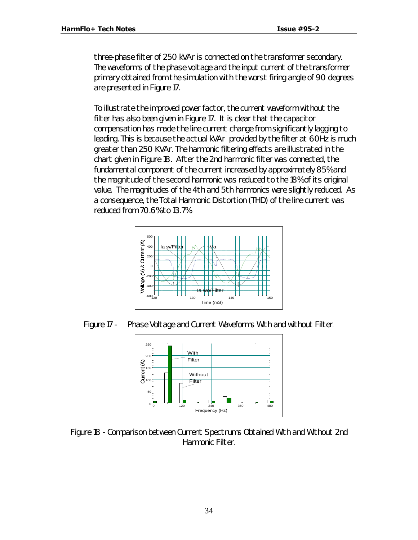three-phase filter of 250 kVAr is connected on the transformer secondary. The waveforms of the phase voltage and the input current of the transformer primary obtained from the simulation with the worst firing angle of 90 degrees are presented in Figure 17.

To illustrate the improved power factor, the current waveform without the filter has also been given in Figure 17. It is clear that the capacitor compensation has made the line current change from significantly lagging to leading. This is because the actual kVAr provided by the filter at 60Hz is much greater than 250 KVAr. The harmonic filtering effects are illustrated in the chart given in Figure 18. After the 2nd harmonic filter was connected, the fundamental component of the current increased by approximately 85% and the magnitude of the second harmonic was reduced to the 18% of its original value. The magnitudes of the 4th and 5th harmonics were slightly reduced. As a consequence, the Total Harmonic Distortion (THD) of the line current was reduced from 70.6% to 13.7%.



*Figure 17 - Phase Voltage and Current Waveforms With and without Filter.*



*Figure 18 - Comparison between Current Spectrums Obtained With and Without 2nd Harmonic Filter.*